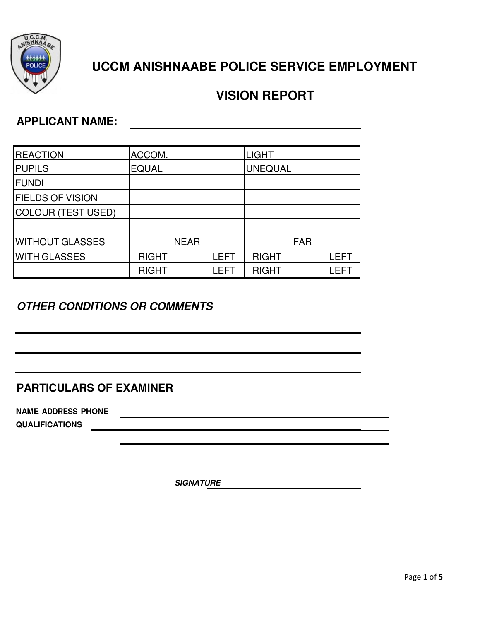

# **UCCM ANISHNAABE POLICE SERVICE EMPLOYMENT**

# **VISION REPORT**

## **APPLICANT NAME:**

| <b>REACTION</b>         | ACCOM.       |             |             | <b>LIGHT</b>   |            |       |
|-------------------------|--------------|-------------|-------------|----------------|------------|-------|
| <b>PUPILS</b>           | <b>EQUAL</b> |             |             | <b>UNEQUAL</b> |            |       |
| <b>FUNDI</b>            |              |             |             |                |            |       |
| <b>FIELDS OF VISION</b> |              |             |             |                |            |       |
| COLOUR (TEST USED)      |              |             |             |                |            |       |
|                         |              |             |             |                |            |       |
| <b>WITHOUT GLASSES</b>  |              | <b>NEAR</b> |             |                | <b>FAR</b> |       |
| <b>WITH GLASSES</b>     | <b>RIGHT</b> |             | <b>LEFT</b> | <b>RIGHT</b>   |            | LEFT  |
|                         | <b>RIGHT</b> |             | LEFT        | <b>RIGHT</b>   |            | I FFT |

## *OTHER CONDITIONS OR COMMENTS*

### **PARTICULARS OF EXAMINER**

**NAME ADDRESS PHONE**

**QUALIFICATIONS**

*SIGNATURE*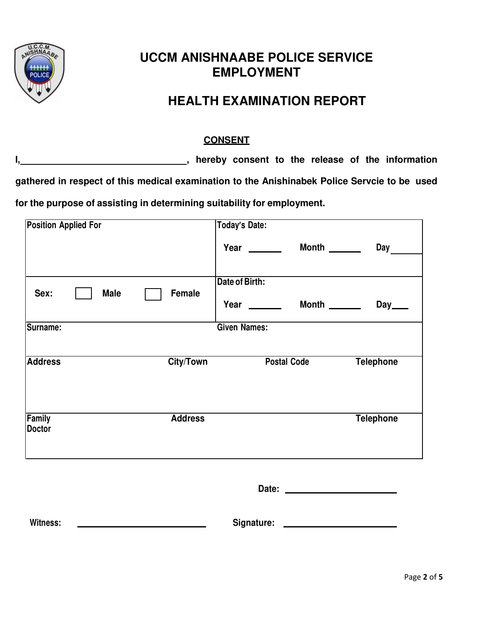

## **UCCM ANISHNAABE POLICE SERVICE EMPLOYMENT**

## **HEALTH EXAMINATION REPORT**

#### **CONSENT**

**I, hereby consent to the release of the information** 

**gathered in respect of this medical examination to the Anishinabek Police Servcie to be used** 

**for the purpose of assisting in determining suitability for employment.** 

| <b>Position Applied For</b>    |                  | <b>Today's Date:</b>         |                     |
|--------------------------------|------------------|------------------------------|---------------------|
|                                |                  | Year $\_\_$<br>Month _______ | <b>Day</b>          |
|                                |                  |                              |                     |
| <b>Male</b><br>Sex:            | Female           | Date of Birth:               |                     |
|                                |                  | Month ______<br>Year ______  | $Day$ <sub>——</sub> |
| Surname:                       |                  | <b>Given Names:</b>          |                     |
|                                |                  |                              |                     |
| <b>Address</b>                 | <b>City/Town</b> | <b>Postal Code</b>           | <b>Telephone</b>    |
|                                |                  |                              |                     |
|                                |                  |                              |                     |
| <b>Family</b><br><b>Doctor</b> | <b>Address</b>   |                              | <b>Telephone</b>    |
|                                |                  |                              |                     |
|                                |                  |                              |                     |
|                                |                  |                              |                     |
|                                |                  |                              |                     |
| Witness:                       |                  | Signature:                   |                     |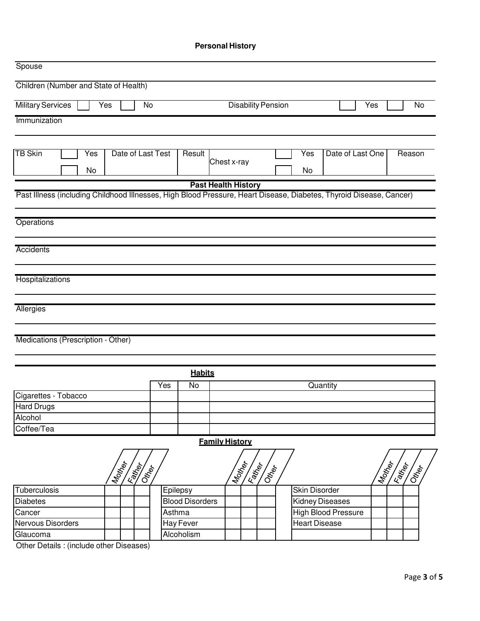#### **Personal History**

| Spouse                                                                                                              |                    |                        |                            |                        |                     |                                           |
|---------------------------------------------------------------------------------------------------------------------|--------------------|------------------------|----------------------------|------------------------|---------------------|-------------------------------------------|
| Children (Number and State of Health)                                                                               |                    |                        |                            |                        |                     |                                           |
| <b>Military Services</b><br>Yes                                                                                     | No                 |                        | <b>Disability Pension</b>  |                        | Yes                 | No                                        |
| Immunization                                                                                                        |                    |                        |                            |                        |                     |                                           |
|                                                                                                                     |                    |                        |                            |                        |                     |                                           |
| <b>TB Skin</b><br>Date of Last Test<br>Yes<br>No                                                                    |                    | Result                 | Chest x-ray                | Yes<br>No              | Date of Last One    | Reason                                    |
|                                                                                                                     |                    |                        | <b>Past Health History</b> |                        |                     |                                           |
| Past Illness (including Childhood Illnesses, High Blood Pressure, Heart Disease, Diabetes, Thyroid Disease, Cancer) |                    |                        |                            |                        |                     |                                           |
|                                                                                                                     |                    |                        |                            |                        |                     |                                           |
| Operations                                                                                                          |                    |                        |                            |                        |                     |                                           |
|                                                                                                                     |                    |                        |                            |                        |                     |                                           |
| <b>Accidents</b>                                                                                                    |                    |                        |                            |                        |                     |                                           |
|                                                                                                                     |                    |                        |                            |                        |                     |                                           |
| Hospitalizations                                                                                                    |                    |                        |                            |                        |                     |                                           |
|                                                                                                                     |                    |                        |                            |                        |                     |                                           |
| Allergies                                                                                                           |                    |                        |                            |                        |                     |                                           |
|                                                                                                                     |                    |                        |                            |                        |                     |                                           |
| Medications (Prescription - Other)                                                                                  |                    |                        |                            |                        |                     |                                           |
|                                                                                                                     |                    |                        |                            |                        |                     |                                           |
|                                                                                                                     |                    |                        |                            |                        |                     |                                           |
|                                                                                                                     | Yes                | <b>Habits</b><br>No    |                            | Quantity               |                     |                                           |
| Cigarettes - Tobacco                                                                                                |                    |                        |                            |                        |                     |                                           |
| <b>Hard Drugs</b>                                                                                                   |                    |                        |                            |                        |                     |                                           |
| Alcohol                                                                                                             |                    |                        |                            |                        |                     |                                           |
| Coffee/Tea                                                                                                          |                    |                        |                            |                        |                     |                                           |
|                                                                                                                     |                    |                        | <b>Family History</b>      |                        |                     |                                           |
| Mother<br><b>REAT</b>                                                                                               | IOH <sub>OCK</sub> |                        | Mother<br><b>Calgation</b> | <b>CREA</b>            |                     | Mother<br><b>ICAL BOOK</b><br><b>CREA</b> |
| Tuberculosis                                                                                                        |                    | Epilepsy               |                            | Skin Disorder          |                     |                                           |
| <b>Diabetes</b>                                                                                                     |                    | <b>Blood Disorders</b> |                            | <b>Kidney Diseases</b> |                     |                                           |
| Cancer                                                                                                              | Asthma             |                        |                            |                        | High Blood Pressure |                                           |
| Nervous Disorders                                                                                                   |                    | Hay Fever              |                            | <b>Heart Disease</b>   |                     |                                           |
| Glaucoma                                                                                                            |                    | Alcoholism             |                            |                        |                     |                                           |

Other Details : (include other Diseases)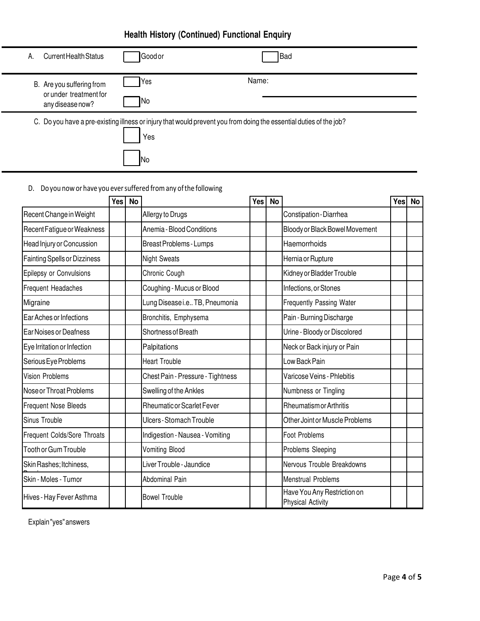## **Health History (Continued) Functional Enquiry**

| Current Health Status<br>А.                                             | Goodor     | <b>Bad</b>                                                                                                         |  |
|-------------------------------------------------------------------------|------------|--------------------------------------------------------------------------------------------------------------------|--|
| B. Are you suffering from<br>or under treatment for<br>any disease now? | Yes<br>INo | Name:                                                                                                              |  |
|                                                                         | Yes        | C. Do you have a pre-existing illness or injury that would prevent you from doing the essential duties of the job? |  |

D. Do you now or have you ever suffered from any of the following

No

|                                     | Yes | <b>No</b> |                                   | Yes | <b>No</b> |                                                         | Yesl | <b>No</b> |
|-------------------------------------|-----|-----------|-----------------------------------|-----|-----------|---------------------------------------------------------|------|-----------|
| Recent Change in Weight             |     |           | Allergy to Drugs                  |     |           | Constipation-Diarrhea                                   |      |           |
| Recent Fatigue or Weakness          |     |           | Anemia - Blood Conditions         |     |           | Bloody or Black Bowel Movement                          |      |           |
| Head Injury or Concussion           |     |           | Breast Problems - Lumps           |     |           | Haemorrhoids                                            |      |           |
| <b>Fainting Spells or Dizziness</b> |     |           | <b>Night Sweats</b>               |     |           | Hernia or Rupture                                       |      |           |
| Epilepsy or Convulsions             |     |           | Chronic Cough                     |     |           | Kidney or Bladder Trouble                               |      |           |
| Frequent Headaches                  |     |           | Coughing - Mucus or Blood         |     |           | Infections, or Stones                                   |      |           |
| Migraine                            |     |           | Lung Disease i.e TB, Pneumonia    |     |           | Frequently Passing Water                                |      |           |
| Ear Aches or Infections             |     |           | Bronchitis, Emphysema             |     |           | Pain - Burning Discharge                                |      |           |
| Ear Noises or Deafness              |     |           | Shortness of Breath               |     |           | Urine - Bloody or Discolored                            |      |           |
| Eye Irritation or Infection         |     |           | Palpitations                      |     |           | Neck or Back injury or Pain                             |      |           |
| Serious Eye Problems                |     |           | <b>Heart Trouble</b>              |     |           | Low Back Pain                                           |      |           |
| <b>Vision Problems</b>              |     |           | Chest Pain - Pressure - Tightness |     |           | Varicose Veins - Phlebitis                              |      |           |
| Nose or Throat Problems             |     |           | Swelling of the Ankles            |     |           | Numbness or Tingling                                    |      |           |
| <b>Frequent Nose Bleeds</b>         |     |           | Rheumatic or Scarlet Fever        |     |           | <b>Rheumatism or Arthritis</b>                          |      |           |
| Sinus Trouble                       |     |           | Ulcers - Stomach Trouble          |     |           | Other Joint or Muscle Problems                          |      |           |
| Frequent Colds/Sore Throats         |     |           | Indigestion - Nausea - Vomiting   |     |           | Foot Problems                                           |      |           |
| <b>Tooth or Gum Trouble</b>         |     |           | <b>Vomiting Blood</b>             |     |           | Problems Sleeping                                       |      |           |
| Skin Rashes; Itchiness,             |     |           | Liver Trouble - Jaundice          |     |           | Nervous Trouble Breakdowns                              |      |           |
| Skin - Moles - Tumor                |     |           | Abdominal Pain                    |     |           | <b>Menstrual Problems</b>                               |      |           |
| Hives - Hay Fever Asthma            |     |           | <b>Bowel Trouble</b>              |     |           | Have You Any Restriction on<br><b>Physical Activity</b> |      |           |

Explain "yes" answers